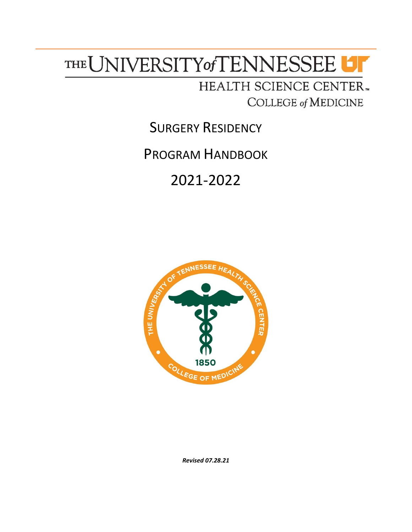# THE UNIVERSITY of TENNESSEE UT

# HEALTH SCIENCE CENTER. **COLLEGE of MEDICINE**

SURGERY RESIDENCY

PROGRAM HANDBOOK

# 2021-2022



*Revised 07.28.21*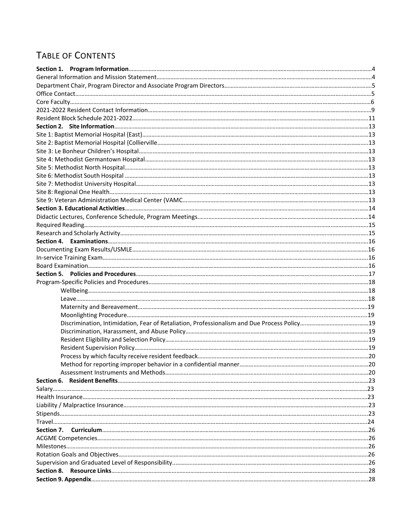# TABLE OF CONTENTS

| Section 7. |  |
|------------|--|
|            |  |
|            |  |
|            |  |
|            |  |
|            |  |
|            |  |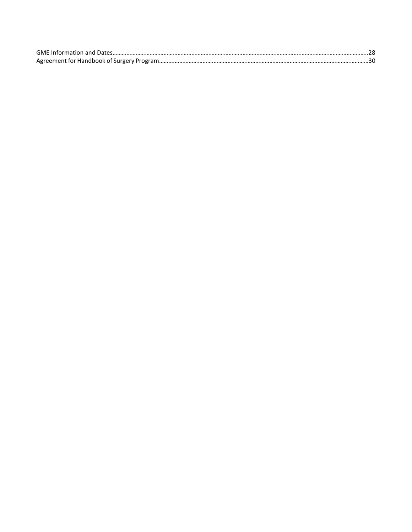| GMF Information and Dates |  |
|---------------------------|--|
|                           |  |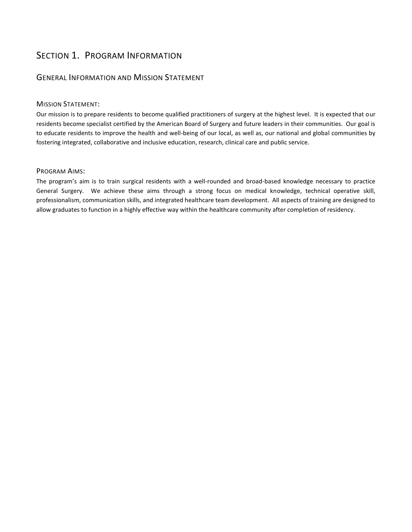# SECTION 1. PROGRAM INFORMATION

## GENERAL INFORMATION AND MISSION STATEMENT

#### MISSION STATEMENT:

Our mission is to prepare residents to become qualified practitioners of surgery at the highest level. It is expected that our residents become specialist certified by the American Board of Surgery and future leaders in their communities. Our goal is to educate residents to improve the health and well-being of our local, as well as, our national and global communities by fostering integrated, collaborative and inclusive education, research, clinical care and public service.

#### PROGRAM AIMS:

The program's aim is to train surgical residents with a well-rounded and broad-based knowledge necessary to practice General Surgery. We achieve these aims through a strong focus on medical knowledge, technical operative skill, professionalism, communication skills, and integrated healthcare team development. All aspects of training are designed to allow graduates to function in a highly effective way within the healthcare community after completion of residency.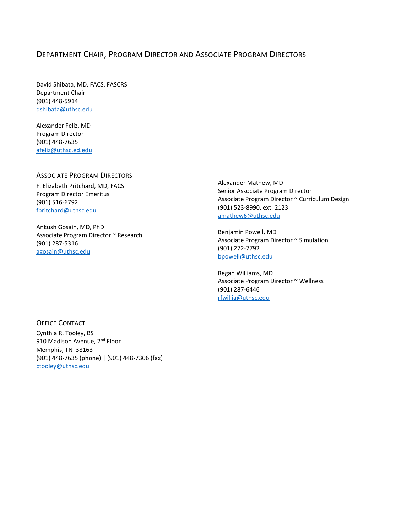## DEPARTMENT CHAIR, PROGRAM DIRECTOR AND ASSOCIATE PROGRAM DIRECTORS

David Shibata, MD, FACS, FASCRS Department Chair (901) 448-5914 [dshibata@uthsc.edu](mailto:dshibata@uthsc.edu)

Alexander Feliz, MD Program Director (901) 448-7635 [afeliz@uthsc.ed.edu](mailto:afeliz@uthsc.ed.edu)

#### ASSOCIATE PROGRAM DIRECTORS

F. Elizabeth Pritchard, MD, FACS Program Director Emeritus (901) 516-6792 [fpritchard@uthsc.edu](mailto:fpritchard@uthsc.edu)

Ankush Gosain, MD, PhD Associate Program Director ~ Research (901) 287-5316 [agosain@uthsc.edu](mailto:agosain@uthsc.edu)

Alexander Mathew, MD Senior Associate Program Director Associate Program Director ~ Curriculum Design (901) 523-8990, ext. 2123 [amathew6@uthsc.edu](mailto:amathew6@uthsc.edu)

Benjamin Powell, MD Associate Program Director ~ Simulation (901) 272-7792 [bpowell@uthsc.edu](mailto:bpowell@uthsc.edu)

Regan Williams, MD Associate Program Director ~ Wellness (901) 287-6446 [rfwillia@uthsc.edu](mailto:rfwillia@uthsc.edu)

OFFICE CONTACT Cynthia R. Tooley, BS 910 Madison Avenue, 2<sup>nd</sup> Floor Memphis, TN 38163 (901) 448-7635 (phone) | (901) 448-7306 (fax) [ctooley@uthsc.edu](mailto:ctooley@uthsc.edu)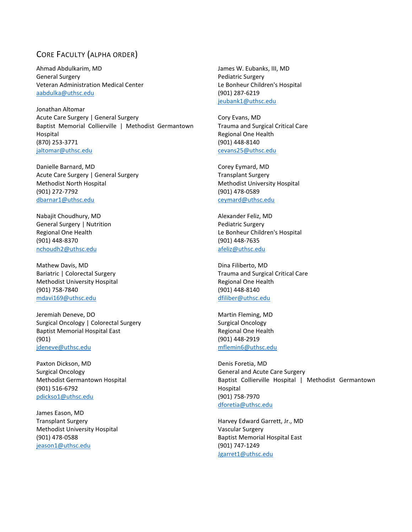## CORE FACULTY (ALPHA ORDER)

Ahmad Abdulkarim, MD General Surgery Veteran Administration Medical Center [aabdulka@uthsc.edu](mailto:aabdulka@uthsc.edu)

Jonathan Altomar Acute Care Surgery | General Surgery Baptist Memorial Collierville | Methodist Germantown Hospital (870) 253-3771 [jaltomar@uthsc.edu](mailto:jaltomar@uthsc.edu)

Danielle Barnard, MD Acute Care Surgery | General Surgery Methodist North Hospital (901) 272-7792 [dbarnar1@uthsc.edu](mailto:dbarnar1@uthsc.edu)

Nabajit Choudhury, MD General Surgery | Nutrition Regional One Health (901) 448-8370 [nchoudh2@uthsc.edu](mailto:nchoudh2@uthsc.edu)

Mathew Davis, MD Bariatric | Colorectal Surgery Methodist University Hospital (901) 758-7840 [mdavi169@uthsc.edu](mailto:mdavi169@uthsc.edu)

Jeremiah Deneve, DO Surgical Oncology | Colorectal Surgery Baptist Memorial Hospital East (901) [jdeneve@uthsc.edu](mailto:jdeneve@uthsc.edu)

Paxton Dickson, MD Surgical Oncology Methodist Germantown Hospital (901) 516-6792 [pdickso1@uthsc.edu](mailto:pdickso1@uthsc.edu)

James Eason, MD Transplant Surgery Methodist University Hospital (901) 478-0588 [jeason1@uthsc.edu](mailto:jeason1@uthsc.edu)

James W. Eubanks, III, MD Pediatric Surgery Le Bonheur Children's Hospital (901) 287-6219 [jeubank1@uthsc.edu](mailto:jeubank1@uthsc.edu)

Cory Evans, MD Trauma and Surgical Critical Care Regional One Health (901) 448-8140 [cevans25@uthsc.edu](mailto:cevans25@uthsc.edu)

Corey Eymard, MD Transplant Surgery Methodist University Hospital (901) 478-0589 [ceymard@uthsc.edu](mailto:ceymard@uthsc.edu)

Alexander Feliz, MD Pediatric Surgery Le Bonheur Children's Hospital (901) 448-7635 [afeliz@uthsc.edu](mailto:afeliz@uthsc.edu)

Dina Filiberto, MD Trauma and Surgical Critical Care Regional One Health (901) 448-8140 [dfiliber@uthsc.edu](mailto:dfiliber@uthsc.edu)

Martin Fleming, MD Surgical Oncology Regional One Health (901) 448-2919 [mflemin6@uthsc.edu](mailto:mflemin6@uthsc.edu)

Denis Foretia, MD General and Acute Care Surgery Baptist Collierville Hospital | Methodist Germantown Hospital (901) 758-7970 [dforetia@uthsc.edu](mailto:dforetia@uthsc.edu)

Harvey Edward Garrett, Jr., MD Vascular Surgery Baptist Memorial Hospital East (901) 747-1249 [Jgarret1@uthsc.edu](mailto:Jgarret1@uthsc.edu)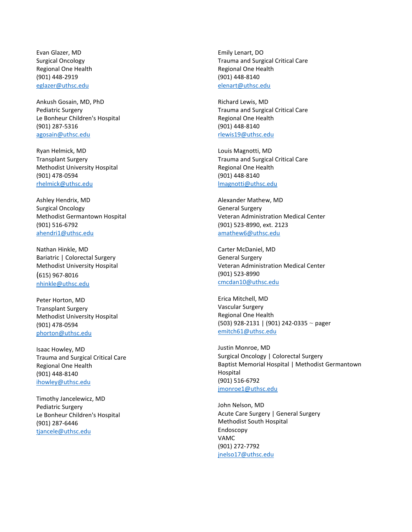Evan Glazer, MD Surgical Oncology Regional One Health (901) 448-2919 [eglazer@uthsc.edu](mailto:eglazer@uthsc.edu)

Ankush Gosain, MD, PhD Pediatric Surgery Le Bonheur Children's Hospital (901) 287-5316 [agosain@uthsc.edu](mailto:agosain@uthsc.edu)

Ryan Helmick, MD Transplant Surgery Methodist University Hospital (901) 478-0594 [rhelmick@uthsc.edu](mailto:rhelmick@uthsc.edu)

Ashley Hendrix, MD Surgical Oncology Methodist Germantown Hospital (901) 516-6792 [ahendri1@uthsc.edu](mailto:ahendri1@uthsc.edu)

Nathan Hinkle, MD Bariatric | Colorectal Surgery Methodist University Hospital (615) 967-8016 [nhinkle@uthsc.edu](mailto:nhinkle@uthsc.edu)

Peter Horton, MD Transplant Surgery Methodist University Hospital (901) 478-0594 [phorton@uthsc.edu](mailto:phorton@uthsc.edu)

Isaac Howley, MD Trauma and Surgical Critical Care Regional One Health (901) 448-8140 [ihowley@uthsc.edu](mailto:ihowley@uthsc.edu)

Timothy Jancelewicz, MD Pediatric Surgery Le Bonheur Children's Hospital (901) 287-6446 [tjancele@uthsc.edu](mailto:tjancele@uthsc.edu)

Emily Lenart, DO Trauma and Surgical Critical Care Regional One Health (901) 448-8140 [elenart@uthsc.edu](mailto:elenart@uthsc.edu)

Richard Lewis, MD Trauma and Surgical Critical Care Regional One Health (901) 448-8140 [rlewis19@uthsc.edu](mailto:rlewis19@uthsc.edu)

Louis Magnotti, MD Trauma and Surgical Critical Care Regional One Health (901) 448-8140 [lmagnotti@uthsc.edu](mailto:lmagnotti@uthsc.edu)

Alexander Mathew, MD General Surgery Veteran Administration Medical Center (901) 523-8990, ext. 2123 [amathew6@uthsc.edu](mailto:amathew6@uthsc.edu)

Carter McDaniel, MD General Surgery Veteran Administration Medical Center (901) 523-8990 [cmcdan10@uthsc.edu](mailto:cmcdan10@uthsc.edu)

Erica Mitchell, MD Vascular Surgery Regional One Health (503) 928-2131 | (901) 242-0335 ~ pager [emitch61@uthsc.edu](mailto:emitch61@uthsc.edu)

Justin Monroe, MD Surgical Oncology | Colorectal Surgery Baptist Memorial Hospital | Methodist Germantown Hospital (901) 516-6792 [jmonroe1@uthsc.edu](mailto:jmonroe1@uthsc.edu)

John Nelson, MD Acute Care Surgery | General Surgery Methodist South Hospital Endoscopy VAMC (901) 272-7792 [jnelso17@uthsc.edu](mailto:jnelso17@uthsc.edu)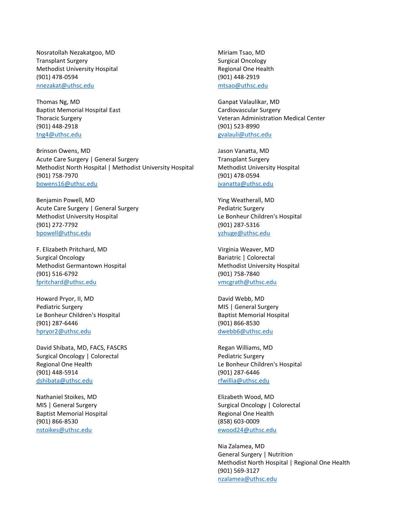Nosratollah Nezakatgoo, MD Transplant Surgery Methodist University Hospital (901) 478-0594 [nnezakat@uthsc.edu](mailto:nnezakat@uthsc.edu)

Thomas Ng, MD Baptist Memorial Hospital East Thoracic Surgery (901) 448-2918 [tng4@uthsc.edu](mailto:tng4@uthsc.edu)

Brinson Owens, MD Acute Care Surgery | General Surgery Methodist North Hospital | Methodist University Hospital (901) 758-7970 [bowens16@uthsc.edu](mailto:bowens16@uthsc.edu)

Benjamin Powell, MD Acute Care Surgery | General Surgery Methodist University Hospital (901) 272-7792 [bpowell@uthsc.edu](mailto:bpowell@uthsc.edu)

F. Elizabeth Pritchard, MD Surgical Oncology Methodist Germantown Hospital (901) 516-6792 [fpritchard@uthsc.edu](mailto:fpritchard@uthsc.edu)

Howard Pryor, II, MD Pediatric Surgery Le Bonheur Children's Hospital (901) 287-6446 [hpryor2@uthsc.edu](mailto:hpryor2@uthsc.edu)

David Shibata, MD, FACS, FASCRS Surgical Oncology | Colorectal Regional One Health (901) 448-5914 [dshibata@uthsc.edu](mailto:dshibata@uthsc.edu)

Nathaniel Stoikes, MD MIS | General Surgery Baptist Memorial Hospital (901) 866-8530 [nstoikes@uthsc.edu](mailto:nstoikes@uthsc.edu)

Miriam Tsao, MD Surgical Oncology Regional One Health (901) 448-2919 [mtsao@uthsc.edu](mailto:mtsao@uthsc.edu)

Ganpat Valaulikar, MD Cardiovascular Surgery Veteran Administration Medical Center (901) 523-8990 [gvalauli@uthsc.edu](mailto:gvalauli@uthsc.edu)

Jason Vanatta, MD Transplant Surgery Methodist University Hospital (901) 478-0594 [jvanatta@uthsc.edu](mailto:jvanatta@uthsc.edu)

Ying Weatherall, MD Pediatric Surgery Le Bonheur Children's Hospital (901) 287-5316 [yzhuge@uthsc.edu](mailto:yzhuge@uthsc.edu)

Virginia Weaver, MD Bariatric | Colorectal Methodist University Hospital (901) 758-7840 [vmcgrath@uthsc.edu](mailto:vmcgrath@uthsc.edu)

David Webb, MD MIS | General Surgery Baptist Memorial Hospital (901) 866-8530 [dwebb6@uthsc.edu](mailto:dwebb6@uthsc.edu)

Regan Williams, MD Pediatric Surgery Le Bonheur Children's Hospital (901) 287-6446 [rfwillia@uthsc.edu](mailto:rfwillia@uthsc.edu)

Elizabeth Wood, MD Surgical Oncology | Colorectal Regional One Health (858) 603-0009 [ewood24@uthsc.edu](mailto:ewood24@uthsc.edu)

Nia Zalamea, MD General Surgery | Nutrition Methodist North Hospital | Regional One Health (901) 569-3127 [nzalamea@uthsc.edu](mailto:nzalamea@uthsc.edu)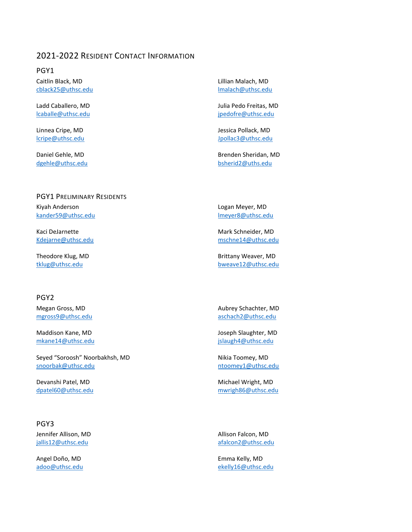## 2021-2022 RESIDENT CONTACT INFORMATION

PGY1 Caitlin Black, MD [cblack25@uthsc.edu](mailto:cblack25@uthsc.edu)

Ladd Caballero, MD [lcaballe@uthsc.edu](mailto:lcaballe@uthsc.edu)

Linnea Cripe, MD [lcripe@uthsc.edu](mailto:lcripe@uthsc.edu)

Daniel Gehle, MD [dgehle@uthsc.edu](mailto:dgehle@uthsc.edu) Lillian Malach, MD [lmalach@uthsc.edu](mailto:lmalach@uthsc.edu)

Julia Pedo Freitas, MD [jpedofre@uthsc.edu](mailto:jpedofre@uthsc.edu)

Jessica Pollack, MD [Jpollac3@uthsc.edu](mailto:Jpollac3@uthsc.edu)

Brenden Sheridan, MD [bsherid2@uths.edu](mailto:bsherid2@uths.edu)

#### PGY1 PRELIMINARY RESIDENTS

Kiyah Anderson [kander59@uthsc.edu](mailto:kander59@uthsc.edu)

Kaci DeJarnette [Kdejarne@uthsc.edu](mailto:Kdejarne@uthsc.edu)

Theodore Klug, MD [tklug@uthsc.edu](mailto:tklug@uthsc.edu)

#### PGY2

Megan Gross, MD [mgross9@uthsc.edu](mailto:mgross9@uthsc.edu)

Maddison Kane, MD [mkane14@uthsc.edu](mailto:mkane14@uthsc.edu)

Seyed "Soroosh" Noorbakhsh, MD [snoorbak@uthsc.edu](mailto:snoorbak@uthsc.edu)

Devanshi Patel, MD [dpatel60@uthsc.edu](mailto:dpatel60@uthsc.edu)

#### PGY3

Jennifer Allison, MD [jallis12@uthsc.edu](mailto:jallis12@uthsc.edu)

Angel Doño, MD [adoo@uthsc.edu](mailto:adoo@uthsc.edu) Logan Meyer, MD [lmeyer8@uthsc.edu](mailto:lmeyer8@uthsc.edu)

Mark Schneider, MD [mschne14@uthsc.edu](mailto:mschne14@uthsc.edu)

Brittany Weaver, MD [bweave12@uthsc.edu](mailto:bweave12@uthsc.edu)

Aubrey Schachter, MD [aschach2@uthsc.edu](mailto:aschach2@uthsc.edu)

Joseph Slaughter, MD [jslaugh4@uthsc.edu](mailto:jslaugh4@uthsc.edu)

Nikia Toomey, MD [ntoomey1@uthsc.edu](mailto:ntoomey1@uthsc.edu)

Michael Wright, MD [mwrigh86@uthsc.edu](mailto:mwrigh86@uthsc.edu)

Allison Falcon, MD [afalcon2@uthsc.edu](mailto:afalcon2@uthsc.edu)

Emma Kelly, MD [ekelly16@uthsc.edu](mailto:ekelly16@uthsc.edu)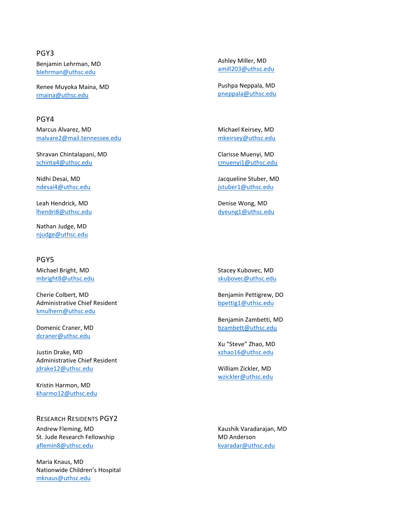#### PGY3

Benjamin Lehrman, MD [blehrman@uthsc.edu](mailto:blehrman@uthsc.edu)

Renee Muyoka Maina, MD [rmaina@uthsc.edu](mailto:rmaina@uthsc.edu)

#### PGY4

Marcus Alvarez, MD [malvare2@mail.tennessee.edu](mailto:malvare2@mail.tennessee.edu)

Shravan Chintalapani, MD [schinta4@uthsc.edu](mailto:schinta4@uthsc.edu)

Nidhi Desai, MD [ndesai4@uthsc.edu](mailto:ndesai4@uthsc.edu)

Leah Hendrick, MD [lhendri8@uthsc.edu](mailto:lhendri8@uthsc.edu)

Nathan Judge, MD [njudge@uthsc.edu](mailto:njudge@uthsc.edu)

#### PGY5

Michael Bright, MD [mbright8@uthsc.edu](mailto:mbright8@uthsc.edu)

Cherie Colbert, MD Administrative Chief Resident [kmulhern@uthsc.edu](mailto:kmulhern@uthsc.edu)

Domenic Craner, MD [dcraner@uthsc.edu](mailto:dcraner@uthsc.edu)

Justin Drake, MD Administrative Chief Resident [jdrake12@uthsc.edu](mailto:jdrake12@uthsc.edu)

Kristin Harmon, MD [kharmo12@uthsc.edu](mailto:kharmo12@uthsc.edu)

#### RESEARCH RESIDENTS PGY2

Andrew Fleming, MD St. Jude Research Fellowship [aflemin8@uthsc.edu](mailto:aflemin8@uthsc.edu)

Maria Knaus, MD Nationwide Children's Hospital [mknaus@uthsc.edu](mailto:mknaus@uthsc.edu)

Ashley Miller, MD [amill203@uthsc.edu](mailto:amill203@uthsc.edu)

Pushpa Neppala, MD [pneppala@uthsc.edu](mailto:bstjohn1@uthsc.edu)

Michael Keirsey, MD [mkeirsey@uthsc.edu](mailto:mkeirsey@uthsc.edu)

Clarisse Muenyi, MD [cmuenyi1@uthsc.edu](mailto:cmuenyi1@uthsc.edu)

[Jacqueline Stuber, MD](mailto:cmuenyi1@uthsc.edu) [jstuber1@uthsc.edu](mailto:jstuber1@uthsc.edu)

[Denise Wong, MD](mailto:jstuber1@uthsc.edu) [dyeung1@uthsc.edu](mailto:dyeung1@uthsc.edu)

Stacey Kubovec, MD [skubovec@uthsc.edu](mailto:skubovec@uthsc.edu)

Benjamin Pettigrew, DO [bpettig1@uthsc.edu](mailto:bpettig1@uthsc.edu)

Benjamin Zambetti, MD [bzambett@uthsc.edu](mailto:bzambett@uthsc.edu)

Xu "Steve" Zhao, MD [xzhao16@uthsc.edu](mailto:xzhao16@uthsc.edu)

William Zickler, MD [wzickler@uthsc.edu](mailto:wzickler@uthsc.edu)

[Kaushik Varadarajan,](mailto:mknaus@uthsc.edu) MD MD Anderson [kvaradar@uthsc.edu](mailto:kvaradar@uthsc.edu)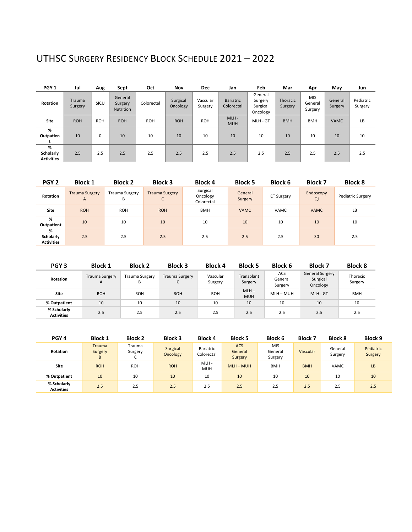# UTHSC SURGERY RESIDENCY BLOCK SCHEDULE 2021 – 2022

| PGY <sub>1</sub>                    | Jul               | Aug        | Sept                                   | Oct        | Nov                  | <b>Dec</b>          | Jan                            | Feb                                        | Mar                 | Apr                              | May                | Jun                  |
|-------------------------------------|-------------------|------------|----------------------------------------|------------|----------------------|---------------------|--------------------------------|--------------------------------------------|---------------------|----------------------------------|--------------------|----------------------|
| <b>Rotation</b>                     | Trauma<br>Surgery | SICU       | General<br>Surgery<br><b>Nutrition</b> | Colorectal | Surgical<br>Oncology | Vascular<br>Surgery | <b>Bariatric</b><br>Colorectal | General<br>Surgery<br>Surgical<br>Oncology | Thoracic<br>Surgery | <b>MIS</b><br>General<br>Surgery | General<br>Surgery | Pediatric<br>Surgery |
| Site                                | <b>ROH</b>        | <b>ROH</b> | <b>ROH</b>                             | <b>ROH</b> | <b>ROH</b>           | <b>ROH</b>          | $MLH -$<br><b>MUH</b>          | MLH - GT                                   | <b>BMH</b>          | <b>BMH</b>                       | <b>VAMC</b>        | LB                   |
| %<br>Outpatien                      | 10                | 0          | 10                                     | 10         | 10                   | 10                  | 10                             | 10                                         | 10                  | 10                               | 10                 | 10                   |
| %<br>Scholarly<br><b>Activities</b> | 2.5               | 2.5        | 2.5                                    | 2.5        | 2.5                  | 2.5                 | 2.5                            | 2.5                                        | 2.5                 | 2.5                              | 2.5                | 2.5                  |

| PGY <sub>2</sub>                    | <b>Block 1</b>                          | <b>Block 2</b>             | <b>Block 3</b>             | <b>Block 4</b>                     | <b>Block 5</b>     | <b>Block 6</b> | <b>Block 7</b>  | <b>Block 8</b>    |
|-------------------------------------|-----------------------------------------|----------------------------|----------------------------|------------------------------------|--------------------|----------------|-----------------|-------------------|
| Rotation                            | <b>Trauma Surgery</b><br>$\overline{A}$ | <b>Trauma Surgery</b><br>В | <b>Trauma Surgery</b><br>◡ | Surgical<br>Oncology<br>Colorectal | General<br>Surgery | CT Surgery     | Endoscopy<br>QI | Pediatric Surgery |
| <b>Site</b>                         | <b>ROH</b>                              | <b>ROH</b>                 | <b>ROH</b>                 | <b>BMH</b>                         | <b>VAMC</b>        | <b>VAMC</b>    | <b>VAMC</b>     | LB                |
| %<br>Outpatient                     | 10                                      | 10                         | 10                         | 10                                 | 10                 | 10             | 10              | 10                |
| %<br>Scholarly<br><b>Activities</b> | 2.5                                     | 2.5                        | 2.5                        | 2.5                                | 2.5                | 2.5            | 30              | 2.5               |

| PGY <sub>3</sub>                 | <b>Block 1</b>             | <b>Block 2</b>      | <b>Block 3</b>             | <b>Block 4</b>      | <b>Block 5</b>        | <b>Block 6</b>            | <b>Block 7</b>                                 | <b>Block 8</b>      |
|----------------------------------|----------------------------|---------------------|----------------------------|---------------------|-----------------------|---------------------------|------------------------------------------------|---------------------|
| <b>Rotation</b>                  | <b>Trauma Surgery</b><br>A | Trauma Surgery<br>B | <b>Trauma Surgery</b><br>J | Vascular<br>Surgery | Transplant<br>Surgery | ACS<br>General<br>Surgery | <b>General Surgery</b><br>Surgical<br>Oncology | Thoracic<br>Surgery |
| Site                             | <b>ROH</b>                 | <b>ROH</b>          | <b>ROH</b>                 | <b>ROH</b>          | $MLH -$<br><b>MUH</b> | $MLH - MUH$               | MLH-GT                                         | <b>BMH</b>          |
| % Outpatient                     | 10                         | 10                  | 10                         | 10                  | 10                    | 10                        | 10                                             | 10                  |
| % Scholarly<br><b>Activities</b> | 2.5                        | 2.5                 | 2.5                        | 2.5                 | 2.5                   | 2.5                       | 2.5                                            | 2.5                 |

| PGY <sub>4</sub>                 | <b>Block 1</b>                | <b>Block 2</b>         | <b>Block 3</b>       | <b>Block 4</b>          | <b>Block 5</b>                   | <b>Block 6</b>                   | <b>Block 7</b> | <b>Block 8</b>     | <b>Block 9</b>       |
|----------------------------------|-------------------------------|------------------------|----------------------|-------------------------|----------------------------------|----------------------------------|----------------|--------------------|----------------------|
| <b>Rotation</b>                  | <b>Trauma</b><br>Surgery<br>B | Trauma<br>Surgery<br>◡ | Surgical<br>Oncology | Bariatric<br>Colorectal | <b>ACS</b><br>General<br>Surgery | <b>MIS</b><br>General<br>Surgery | Vascular       | General<br>Surgery | Pediatric<br>Surgery |
| Site                             | <b>ROH</b>                    | <b>ROH</b>             | <b>ROH</b>           | MLH-<br><b>MUH</b>      | $MLH - MUH$                      | <b>BMH</b>                       | <b>BMH</b>     | VAMC               | LB                   |
| % Outpatient                     | 10                            | 10                     | 10                   | 10                      | 10                               | 10                               | 10             | 10                 | 10                   |
| % Scholarly<br><b>Activities</b> | 2.5                           | 2.5                    | 2.5                  | 2.5                     | 2.5                              | 2.5                              | 2.5            | 2.5                | 2.5                  |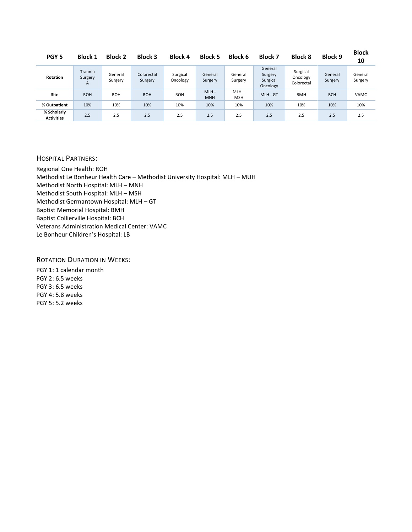| PGY <sub>5</sub>                 | <b>Block 1</b>         | <b>Block 2</b>     | <b>Block 3</b>        | <b>Block 4</b>       | <b>Block 5</b>     | <b>Block 6</b>        | <b>Block 7</b>                             | <b>Block 8</b>                     | <b>Block 9</b>     | <b>Block</b><br>10 |
|----------------------------------|------------------------|--------------------|-----------------------|----------------------|--------------------|-----------------------|--------------------------------------------|------------------------------------|--------------------|--------------------|
| <b>Rotation</b>                  | Trauma<br>Surgery<br>A | General<br>Surgery | Colorectal<br>Surgery | Surgical<br>Oncology | General<br>Surgery | General<br>Surgery    | General<br>Surgery<br>Surgical<br>Oncology | Surgical<br>Oncology<br>Colorectal | General<br>Surgery | General<br>Surgery |
| <b>Site</b>                      | <b>ROH</b>             | <b>ROH</b>         | <b>ROH</b>            | <b>ROH</b>           | MLH-<br><b>MNH</b> | $MLH -$<br><b>MSH</b> | MLH - GT                                   | <b>BMH</b>                         | <b>BCH</b>         | <b>VAMC</b>        |
| % Outpatient                     | 10%                    | 10%                | 10%                   | 10%                  | 10%                | 10%                   | 10%                                        | 10%                                | 10%                | 10%                |
| % Scholarly<br><b>Activities</b> | 2.5                    | 2.5                | 2.5                   | 2.5                  | 2.5                | 2.5                   | 2.5                                        | 2.5                                | 2.5                | 2.5                |

#### HOSPITAL PARTNERS:

Regional One Health: ROH Methodist Le Bonheur Health Care – Methodist University Hospital: MLH – MUH Methodist North Hospital: MLH – MNH Methodist South Hospital: MLH – MSH Methodist Germantown Hospital: MLH – GT Baptist Memorial Hospital: BMH Baptist Collierville Hospital: BCH Veterans Administration Medical Center: VAMC Le Bonheur Children's Hospital: LB

ROTATION DURATION IN WEEKS:

PGY 1: 1 calendar month PGY 2: 6.5 weeks PGY 3: 6.5 weeks PGY 4: 5.8 weeks PGY 5: 5.2 weeks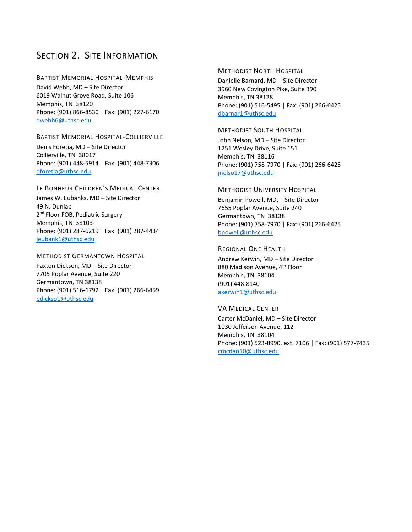## SECTION 2. SITE INFORMATION

BAPTIST MEMORIAL HOSPITAL-MEMPHIS David Webb, MD – Site Director 6019 Walnut Grove Road, Suite 106 Memphis, TN 38120 Phone: (901) 866-8530 | Fax: (901) 227-6170 [dwebb6@uthsc.edu](mailto:dwebb6@uthsc.edu)

#### BAPTIST MEMORIAL HOSPITAL-COLLIERVILLE Denis Foretia, MD – Site Director Collierville, TN 38017 Phone: (901) 448-5914 | Fax: (901) 448-7306 [dforetia@uthsc.edu](mailto:dforetia@uthsc.edu)

#### LE BONHEUR CHILDREN'S MEDICAL CENTER

James W. Eubanks, MD – Site Director 49 N. Dunlap 2<sup>nd</sup> Floor FOB, Pediatric Surgery Memphis, TN 38103 Phone: (901) 287-6219 | Fax: (901) 287-4434 [jeubank1@uthsc.edu](mailto:jeubank1@uthsc.edu)

#### METHODIST GERMANTOWN HOSPITAL

Paxton Dickson, MD – Site Director 7705 Poplar Avenue, Suite 220 Germantown, TN 38138 Phone: (901) 516-6792 | Fax: (901) 266-6459 [pdickso1@uthsc.edu](mailto:pdickso1@uthsc.edu)

#### METHODIST NORTH HOSPITAL

Danielle Barnard, MD – Site Director 3960 New Covington Pike, Suite 390 Memphis, TN 38128 Phone: (901) 516-5495 | Fax: (901) 266-6425 [dbarnar1@uthsc.edu](mailto:dbarnar1@uthsc.edu)

#### METHODIST SOUTH HOSPITAL

John Nelson, MD – Site Director 1251 Wesley Drive, Suite 151 Memphis, TN 38116 Phone: (901) 758-7970 | Fax: (901) 266-6425 [jnelso17@uthsc.edu](mailto:jnelso17@uthsc.edu)

#### METHODIST UNIVERSITY HOSPITAL

Benjamin Powell, MD, – Site Director 7655 Poplar Avenue, Suite 240 Germantown, TN 38138 Phone: (901) 758-7970 | Fax: (901) 266-6425 [bpowell@uthsc.edu](mailto:fpritchard@uthsc.edu)

#### REGIONAL ONE HEALTH

Andrew Kerwin, MD – Site Director 880 Madison Avenue, 4<sup>th</sup> Floor Memphis, TN 38104 (901) 448-8140 [akerwin1@uthsc.edu](mailto:akerwin1@uthsc.edu)

#### VA MEDICAL CENTER

Carter McDaniel, MD – Site Director 1030 Jefferson Avenue, 112 Memphis, TN 38104 Phone: (901) 523-8990, ext. 7106 | Fax: (901) 577-7435 [cmcdan10@uthsc.edu](mailto:cmcdan10@uthsc.edu)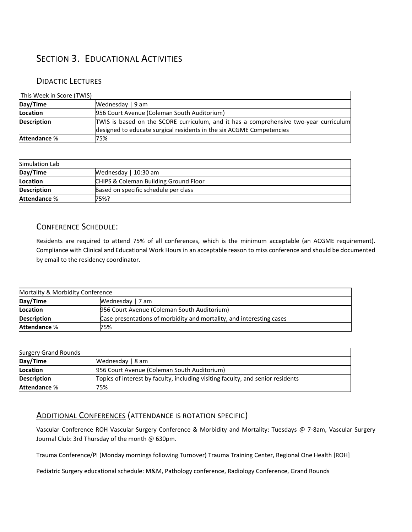# SECTION 3. EDUCATIONAL ACTIVITIES

## DIDACTIC LECTURES

| This Week in Score (TWIS) |                                                                                       |
|---------------------------|---------------------------------------------------------------------------------------|
| Day/Time                  | Wednesday   9 am                                                                      |
| Location                  | 956 Court Avenue (Coleman South Auditorium)                                           |
| <b>Description</b>        | TWIS is based on the SCORE curriculum, and it has a comprehensive two-year curriculum |
|                           | designed to educate surgical residents in the six ACGME Competencies                  |
| Attendance %              | 75%                                                                                   |

| Simulation Lab     |                                       |
|--------------------|---------------------------------------|
| Day/Time           | Wednesday   10:30 am                  |
| Location           | CHIPS & Coleman Building Ground Floor |
| <b>Description</b> | Based on specific schedule per class  |
| Attendance %       | 75%?                                  |

## CONFERENCE SCHEDULE:

Residents are required to attend 75% of all conferences, which is the minimum acceptable (an ACGME requirement). Compliance with Clinical and Educational Work Hours in an acceptable reason to miss conference and should be documented by email to the residency coordinator.

| Mortality & Morbidity Conference |                                                                      |  |  |  |  |
|----------------------------------|----------------------------------------------------------------------|--|--|--|--|
| Day/Time                         | Wednesday   7 am                                                     |  |  |  |  |
| Location                         | 956 Court Avenue (Coleman South Auditorium)                          |  |  |  |  |
| <b>Description</b>               | Case presentations of morbidity and mortality, and interesting cases |  |  |  |  |
| <b>Attendance %</b>              | 75%                                                                  |  |  |  |  |

| <b>Surgery Grand Rounds</b> |                                                                                 |
|-----------------------------|---------------------------------------------------------------------------------|
| Day/Time                    | Wednesday   8 am                                                                |
| Location                    | 956 Court Avenue (Coleman South Auditorium)                                     |
| <b>Description</b>          | Topics of interest by faculty, including visiting faculty, and senior residents |
| <b>Attendance %</b>         | 75%                                                                             |

## ADDITIONAL CONFERENCES (ATTENDANCE IS ROTATION SPECIFIC)

Vascular Conference ROH Vascular Surgery Conference & Morbidity and Mortality: Tuesdays @ 7-8am, Vascular Surgery Journal Club: 3rd Thursday of the month @ 630pm.

Trauma Conference/PI (Monday mornings following Turnover) Trauma Training Center, Regional One Health [ROH]

Pediatric Surgery educational schedule: M&M, Pathology conference, Radiology Conference, Grand Rounds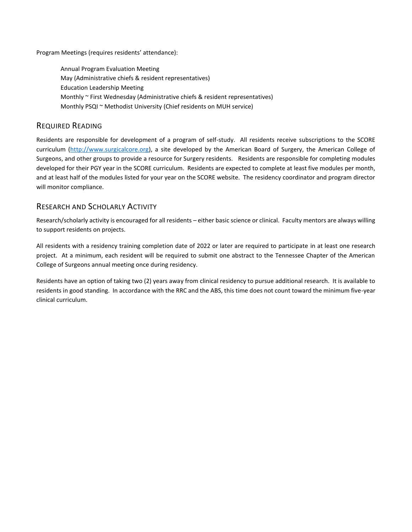Program Meetings (requires residents' attendance):

Annual Program Evaluation Meeting May (Administrative chiefs & resident representatives) Education Leadership Meeting Monthly ~ First Wednesday (Administrative chiefs & resident representatives) Monthly PSQI ~ Methodist University (Chief residents on MUH service)

## REQUIRED READING

Residents are responsible for development of a program of self-study. All residents receive subscriptions to the SCORE curriculum [\(http://www.surgicalcore.org\)](http://www.surgicalcore.org/), a site developed by the American Board of Surgery, the American College of Surgeons, and other groups to provide a resource for Surgery residents. Residents are responsible for completing modules developed for their PGY year in the SCORE curriculum. Residents are expected to complete at least five modules per month, and at least half of the modules listed for your year on the SCORE website. The residency coordinator and program director will monitor compliance.

## RESEARCH AND SCHOLARLY ACTIVITY

Research/scholarly activity is encouraged for all residents – either basic science or clinical. Faculty mentors are always willing to support residents on projects.

All residents with a residency training completion date of 2022 or later are required to participate in at least one research project. At a minimum, each resident will be required to submit one abstract to the Tennessee Chapter of the American College of Surgeons annual meeting once during residency.

Residents have an option of taking two (2) years away from clinical residency to pursue additional research. It is available to residents in good standing. In accordance with the RRC and the ABS, this time does not count toward the minimum five-year clinical curriculum.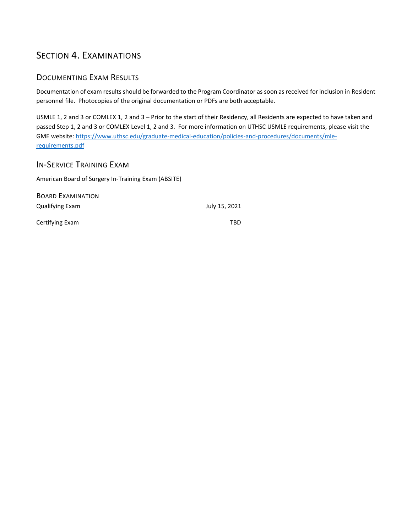# SECTION 4. EXAMINATIONS

## DOCUMENTING EXAM RESULTS

Documentation of exam results should be forwarded to the Program Coordinator as soon as received for inclusion in Resident personnel file. Photocopies of the original documentation or PDFs are both acceptable.

USMLE 1, 2 and 3 or COMLEX 1, 2 and 3 – Prior to the start of their Residency, all Residents are expected to have taken and passed Step 1, 2 and 3 or COMLEX Level 1, 2 and 3. For more information on UTHSC USMLE requirements, please visit the GME website: [https://www.uthsc.edu/graduate-medical-education/policies-and-procedures/documents/mle](https://www.uthsc.edu/graduate-medical-education/policies-and-procedures/documents/mle-requirements.pdf)[requirements.pdf](https://www.uthsc.edu/graduate-medical-education/policies-and-procedures/documents/mle-requirements.pdf)

## IN-SERVICE TRAINING EXAM

American Board of Surgery In-Training Exam (ABSITE)

BOARD EXAMINATION Qualifying Exam July 15, 2021 Certifying Exam TBD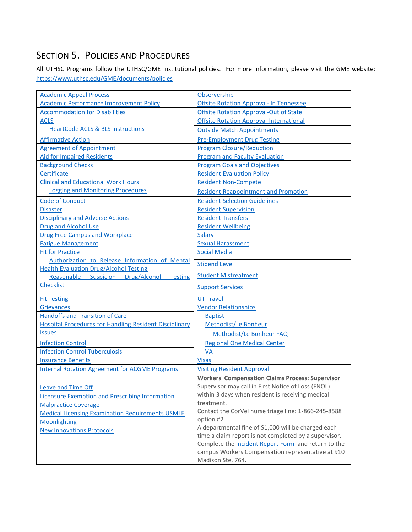# SECTION 5. POLICIES AND PROCEDURES

All UTHSC Programs follow the UTHSC/GME institutional policies. For more information, please visit the GME website: <https://www.uthsc.edu/GME/documents/policies>

| <b>Academic Appeal Process</b>                                | Observership                                            |
|---------------------------------------------------------------|---------------------------------------------------------|
| <b>Academic Performance Improvement Policy</b>                | <b>Offsite Rotation Approval- In Tennessee</b>          |
| <b>Accommodation for Disabilities</b>                         | <b>Offsite Rotation Approval-Out of State</b>           |
| <b>ACLS</b>                                                   | <b>Offsite Rotation Approval-International</b>          |
| <b>HeartCode ACLS &amp; BLS Instructions</b>                  | <b>Outside Match Appointments</b>                       |
| <b>Affirmative Action</b>                                     | <b>Pre-Employment Drug Testing</b>                      |
| <b>Agreement of Appointment</b>                               | <b>Program Closure/Reduction</b>                        |
| <b>Aid for Impaired Residents</b>                             | <b>Program and Faculty Evaluation</b>                   |
| <b>Background Checks</b>                                      | <b>Program Goals and Objectives</b>                     |
| Certificate                                                   | <b>Resident Evaluation Policy</b>                       |
| <b>Clinical and Educational Work Hours</b>                    | <b>Resident Non-Compete</b>                             |
| <b>Logging and Monitoring Procedures</b>                      | <b>Resident Reappointment and Promotion</b>             |
| <b>Code of Conduct</b>                                        | <b>Resident Selection Guidelines</b>                    |
| <b>Disaster</b>                                               | <b>Resident Supervision</b>                             |
| <b>Disciplinary and Adverse Actions</b>                       | <b>Resident Transfers</b>                               |
| <b>Drug and Alcohol Use</b>                                   | <b>Resident Wellbeing</b>                               |
| <b>Drug Free Campus and Workplace</b>                         | Salary                                                  |
| <b>Fatigue Management</b>                                     | <b>Sexual Harassment</b>                                |
| <b>Fit for Practice</b>                                       | <b>Social Media</b>                                     |
| Authorization to Release Information of Mental                | <b>Stipend Level</b>                                    |
| <b>Health Evaluation Drug/Alcohol Testing</b>                 |                                                         |
| Reasonable<br>Suspicion<br>Drug/Alcohol<br><b>Testing</b>     | <b>Student Mistreatment</b>                             |
| <b>Checklist</b>                                              | <b>Support Services</b>                                 |
| <b>Fit Testing</b>                                            | <b>UT Travel</b>                                        |
| Grievances                                                    | <b>Vendor Relationships</b>                             |
| <b>Handoffs and Transition of Care</b>                        | <b>Baptist</b>                                          |
| <b>Hospital Procedures for Handling Resident Disciplinary</b> | Methodist/Le Bonheur                                    |
| <b>Issues</b>                                                 | Methodist/Le Bonheur FAQ                                |
| <b>Infection Control</b>                                      | <b>Regional One Medical Center</b>                      |
| <b>Infection Control Tuberculosis</b>                         | <b>VA</b>                                               |
| <b>Insurance Benefits</b>                                     | <b>Visas</b>                                            |
| <b>Internal Rotation Agreement for ACGME Programs</b>         | <b>Visiting Resident Approval</b>                       |
|                                                               | <b>Workers' Compensation Claims Process: Supervisor</b> |
| <b>Leave and Time Off</b>                                     | Supervisor may call in First Notice of Loss (FNOL)      |
| <b>Licensure Exemption and Prescribing Information</b>        | within 3 days when resident is receiving medical        |
| <b>Malpractice Coverage</b>                                   | treatment.                                              |
| <b>Medical Licensing Examination Requirements USMLE</b>       | Contact the CorVel nurse triage line: 1-866-245-8588    |
| Moonlighting                                                  | option #2                                               |
| <b>New Innovations Protocols</b>                              | A departmental fine of \$1,000 will be charged each     |
|                                                               | time a claim report is not completed by a supervisor.   |
|                                                               | Complete the Incident Report Form and return to the     |
|                                                               | campus Workers Compensation representative at 910       |
|                                                               | Madison Ste. 764.                                       |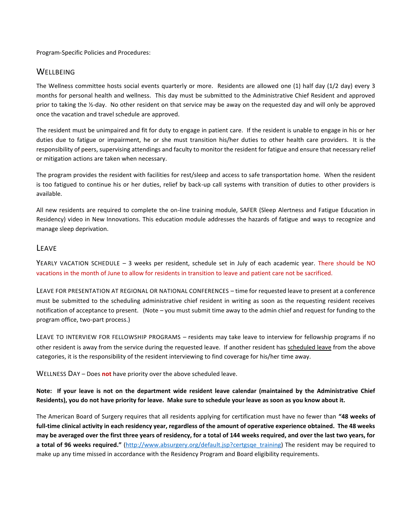Program-Specific Policies and Procedures:

## WELLBEING

The Wellness committee hosts social events quarterly or more. Residents are allowed one (1) half day (1/2 day) every 3 months for personal health and wellness. This day must be submitted to the Administrative Chief Resident and approved prior to taking the ½-day. No other resident on that service may be away on the requested day and will only be approved once the vacation and travel schedule are approved.

The resident must be unimpaired and fit for duty to engage in patient care. If the resident is unable to engage in his or her duties due to fatigue or impairment, he or she must transition his/her duties to other health care providers. It is the responsibility of peers, supervising attendings and faculty to monitor the resident for fatigue and ensure that necessary relief or mitigation actions are taken when necessary.

The program provides the resident with facilities for rest/sleep and access to safe transportation home. When the resident is too fatigued to continue his or her duties, relief by back-up call systems with transition of duties to other providers is available.

All new residents are required to complete the on-line training module, SAFER (Sleep Alertness and Fatigue Education in Residency) video in New Innovations. This education module addresses the hazards of fatigue and ways to recognize and manage sleep deprivation.

### LEAVE

YEARLY VACATION SCHEDULE – 3 weeks per resident, schedule set in July of each academic year. There should be NO vacations in the month of June to allow for residents in transition to leave and patient care not be sacrificed.

LEAVE FOR PRESENTATION AT REGIONAL OR NATIONAL CONFERENCES – time for requested leave to present at a conference must be submitted to the scheduling administrative chief resident in writing as soon as the requesting resident receives notification of acceptance to present. (Note – you must submit time away to the admin chief and request for funding to the program office, two-part process.)

LEAVE TO INTERVIEW FOR FELLOWSHIP PROGRAMS – residents may take leave to interview for fellowship programs if no other resident is away from the service during the requested leave. If another resident has scheduled leave from the above categories, it is the responsibility of the resident interviewing to find coverage for his/her time away.

WELLNESS DAY – Does **not** have priority over the above scheduled leave.

**Note: If your leave is not on the department wide resident leave calendar (maintained by the Administrative Chief Residents), you do not have priority for leave. Make sure to schedule your leave as soon as you know about it.** 

The American Board of Surgery requires that all residents applying for certification must have no fewer than **"48 weeks of full-time clinical activity in each residency year, regardless of the amount of operative experience obtained. The 48 weeks may be averaged over the first three years of residency, for a total of 144 weeks required, and over the last two years, for a total of 96 weeks required."** [\(http://www.absurgery.org/default.jsp?certgsqe\\_training\)](http://www.absurgery.org/default.jsp?certgsqe_training) The resident may be required to make up any time missed in accordance with the Residency Program and Board eligibility requirements.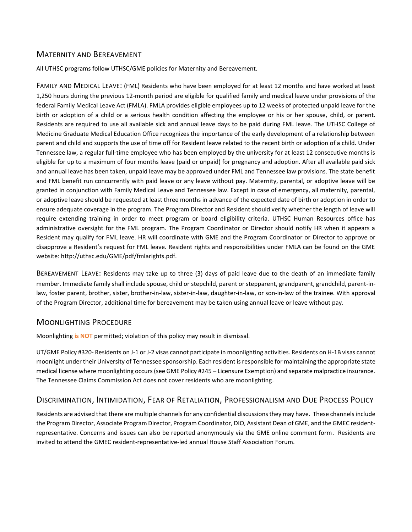## MATERNITY AND BEREAVEMENT

All UTHSC programs follow UTHSC/GME policies for Maternity and Bereavement.

FAMILY AND MEDICAL LEAVE: (FML) Residents who have been employed for at least 12 months and have worked at least 1,250 hours during the previous 12-month period are eligible for qualified family and medical leave under provisions of the federal Family Medical Leave Act (FMLA). FMLA provides eligible employees up to 12 weeks of protected unpaid leave for the birth or adoption of a child or a serious health condition affecting the employee or his or her spouse, child, or parent. Residents are required to use all available sick and annual leave days to be paid during FML leave. The UTHSC College of Medicine Graduate Medical Education Office recognizes the importance of the early development of a relationship between parent and child and supports the use of time off for Resident leave related to the recent birth or adoption of a child. Under Tennessee law, a regular full-time employee who has been employed by the university for at least 12 consecutive months is eligible for up to a maximum of four months leave (paid or unpaid) for pregnancy and adoption. After all available paid sick and annual leave has been taken, unpaid leave may be approved under FML and Tennessee law provisions. The state benefit and FML benefit run concurrently with paid leave or any leave without pay. Maternity, parental, or adoptive leave will be granted in conjunction with Family Medical Leave and Tennessee law. Except in case of emergency, all maternity, parental, or adoptive leave should be requested at least three months in advance of the expected date of birth or adoption in order to ensure adequate coverage in the program. The Program Director and Resident should verify whether the length of leave will require extending training in order to meet program or board eligibility criteria. UTHSC Human Resources office has administrative oversight for the FML program. The Program Coordinator or Director should notify HR when it appears a Resident may qualify for FML leave. HR will coordinate with GME and the Program Coordinator or Director to approve or disapprove a Resident's request for FML leave. Resident rights and responsibilities under FMLA can be found on the GME website: http://uthsc.edu/GME/pdf/fmlarights.pdf.

BEREAVEMENT LEAVE: Residents may take up to three (3) days of paid leave due to the death of an immediate family member. Immediate family shall include spouse, child or stepchild, parent or stepparent, grandparent, grandchild, parent-inlaw, foster parent, brother, sister, brother-in-law, sister-in-law, daughter-in-law, or son-in-law of the trainee. With approval of the Program Director, additional time for bereavement may be taken using annual leave or leave without pay.

## MOONLIGHTING PROCEDURE

Moonlighting **is NOT** permitted; violation of this policy may result in dismissal.

UT/GME Policy #320- Residents on J-1 or J-2 visas cannot participate in moonlighting activities. Residents on H-1B visas cannot moonlight under their University of Tennessee sponsorship. Each resident is responsible for maintaining the appropriate state medical license where moonlighting occurs (see GME Policy #245 – Licensure Exemption) and separate malpractice insurance. The Tennessee Claims Commission Act does not cover residents who are moonlighting.

## DISCRIMINATION, INTIMIDATION, FEAR OF RETALIATION, PROFESSIONALISM AND DUE PROCESS POLICY

Residents are advised that there are multiple channels for any confidential discussions they may have. These channels include the Program Director, Associate Program Director, Program Coordinator, DIO, Assistant Dean of GME, and the GMEC residentrepresentative. Concerns and issues can also be reported anonymously via the GME online comment form. Residents are invited to attend the GMEC resident-representative-led annual House Staff Association Forum.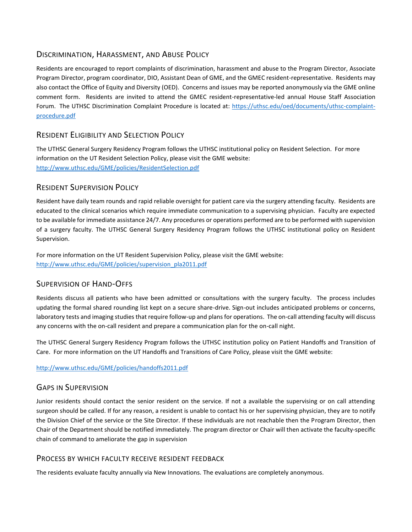## DISCRIMINATION, HARASSMENT, AND ABUSE POLICY

Residents are encouraged to report complaints of discrimination, harassment and abuse to the Program Director, Associate Program Director, program coordinator, DIO, Assistant Dean of GME, and the GMEC resident-representative. Residents may also contact the Office of Equity and Diversity (OED). Concerns and issues may be reported anonymously via the GME online comment form. Residents are invited to attend the GMEC resident-representative-led annual House Staff Association Forum. The UTHSC Discrimination Complaint Procedure is located at: [https://uthsc.edu/oed/documents/uthsc-complaint](https://uthsc.edu/oed/documents/uthsc-complaint-procedure.pdf)[procedure.pdf](https://uthsc.edu/oed/documents/uthsc-complaint-procedure.pdf) 

## RESIDENT ELIGIBILITY AND SELECTION POLICY

The UTHSC General Surgery Residency Program follows the UTHSC institutional policy on Resident Selection. For more information on the UT Resident Selection Policy, please visit the GME website: <http://www.uthsc.edu/GME/policies/ResidentSelection.pdf>

## RESIDENT SUPERVISION POLICY

Resident have daily team rounds and rapid reliable oversight for patient care via the surgery attending faculty. Residents are educated to the clinical scenarios which require immediate communication to a supervising physician. Faculty are expected to be available for immediate assistance 24/7. Any procedures or operations performed are to be performed with supervision of a surgery faculty. The UTHSC General Surgery Residency Program follows the UTHSC institutional policy on Resident Supervision.

For more information on the UT Resident Supervision Policy, please visit the GME website: [http://www.uthsc.edu/GME/policies/supervision\\_pla2011.pdf](http://www.uthsc.edu/GME/policies/supervision_pla2011.pdf)

## SUPERVISION OF HAND-OFFS

Residents discuss all patients who have been admitted or consultations with the surgery faculty. The process includes updating the formal shared rounding list kept on a secure share-drive. Sign-out includes anticipated problems or concerns, laboratory tests and imaging studies that require follow-up and plans for operations. The on-call attending faculty will discuss any concerns with the on-call resident and prepare a communication plan for the on-call night.

The UTHSC General Surgery Residency Program follows the UTHSC institution policy on Patient Handoffs and Transition of Care. For more information on the UT Handoffs and Transitions of Care Policy, please visit the GME website:

<http://www.uthsc.edu/GME/policies/handoffs2011.pdf>

## GAPS IN SUPERVISION

Junior residents should contact the senior resident on the service. If not a available the supervising or on call attending surgeon should be called. If for any reason, a resident is unable to contact his or her supervising physician, they are to notify the Division Chief of the service or the Site Director. If these individuals are not reachable then the Program Director, then Chair of the Department should be notified immediately. The program director or Chair will then activate the faculty-specific chain of command to ameliorate the gap in supervision

## PROCESS BY WHICH FACULTY RECEIVE RESIDENT FEEDBACK

The residents evaluate faculty annually via New Innovations. The evaluations are completely anonymous.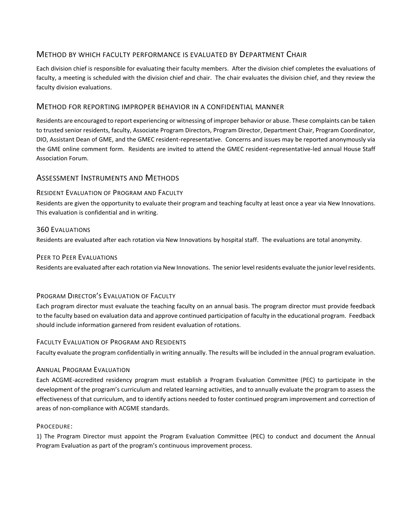## METHOD BY WHICH FACULTY PERFORMANCE IS EVALUATED BY DEPARTMENT CHAIR

Each division chief is responsible for evaluating their faculty members. After the division chief completes the evaluations of faculty, a meeting is scheduled with the division chief and chair. The chair evaluates the division chief, and they review the faculty division evaluations.

## METHOD FOR REPORTING IMPROPER BEHAVIOR IN A CONFIDENTIAL MANNER

Residents are encouraged to report experiencing or witnessing of improper behavior or abuse. These complaints can be taken to trusted senior residents, faculty, Associate Program Directors, Program Director, Department Chair, Program Coordinator, DIO, Assistant Dean of GME, and the GMEC resident-representative. Concerns and issues may be reported anonymously via the GME online comment form. Residents are invited to attend the GMEC resident-representative-led annual House Staff Association Forum.

## ASSESSMENT INSTRUMENTS AND METHODS

### RESIDENT EVALUATION OF PROGRAM AND FACULTY

Residents are given the opportunity to evaluate their program and teaching faculty at least once a year via New Innovations. This evaluation is confidential and in writing.

#### 360 EVALUATIONS

Residents are evaluated after each rotation via New Innovations by hospital staff. The evaluations are total anonymity.

#### PEER TO PEER EVALUATIONS

Residents are evaluated after each rotation via New Innovations. The senior level residents evaluate the junior level residents.

### PROGRAM DIRECTOR'S EVALUATION OF FACULTY

Each program director must evaluate the teaching faculty on an annual basis. The program director must provide feedback to the faculty based on evaluation data and approve continued participation of faculty in the educational program. Feedback should include information garnered from resident evaluation of rotations.

### FACULTY EVALUATION OF PROGRAM AND RESIDENTS

Faculty evaluate the program confidentially in writing annually. The results will be included in the annual program evaluation.

### ANNUAL PROGRAM EVALUATION

Each ACGME-accredited residency program must establish a Program Evaluation Committee (PEC) to participate in the development of the program's curriculum and related learning activities, and to annually evaluate the program to assess the effectiveness of that curriculum, and to identify actions needed to foster continued program improvement and correction of areas of non-compliance with ACGME standards.

#### PROCEDURE:

1) The Program Director must appoint the Program Evaluation Committee (PEC) to conduct and document the Annual Program Evaluation as part of the program's continuous improvement process.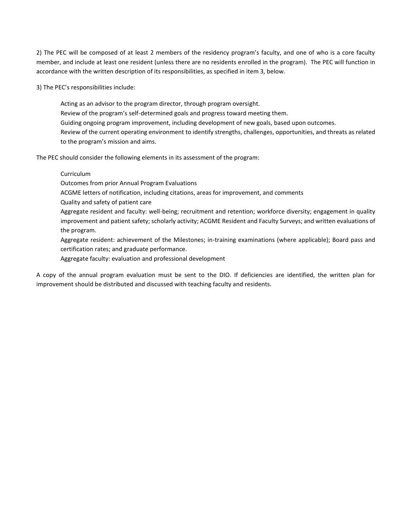2) The PEC will be composed of at least 2 members of the residency program's faculty, and one of who is a core faculty member, and include at least one resident (unless there are no residents enrolled in the program). The PEC will function in accordance with the written description of its responsibilities, as specified in item 3, below.

3) The PEC's responsibilities include:

Acting as an advisor to the program director, through program oversight. Review of the program's self-determined goals and progress toward meeting them. Guiding ongoing program improvement, including development of new goals, based upon outcomes. Review of the current operating environment to identify strengths, challenges, opportunities, and threats as related to the program's mission and aims.

The PEC should consider the following elements in its assessment of the program:

#### Curriculum

Outcomes from prior Annual Program Evaluations

- ACGME letters of notification, including citations, areas for improvement, and comments
- Quality and safety of patient care

Aggregate resident and faculty: well-being; recruitment and retention; workforce diversity; engagement in quality improvement and patient safety; scholarly activity; ACGME Resident and Faculty Surveys; and written evaluations of the program.

Aggregate resident: achievement of the Milestones; in-training examinations (where applicable); Board pass and certification rates; and graduate performance.

Aggregate faculty: evaluation and professional development

A copy of the annual program evaluation must be sent to the DIO. If deficiencies are identified, the written plan for improvement should be distributed and discussed with teaching faculty and residents.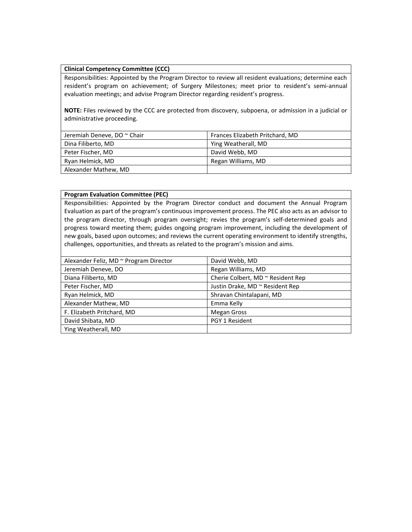#### **Clinical Competency Committee (CCC)**

Responsibilities: Appointed by the Program Director to review all resident evaluations; determine each resident's program on achievement; of Surgery Milestones; meet prior to resident's semi-annual evaluation meetings; and advise Program Director regarding resident's progress.

**NOTE:** Files reviewed by the CCC are protected from discovery, subpoena, or admission in a judicial or administrative proceeding.

| Jeremiah Deneve, DO ~ Chair | Frances Elizabeth Pritchard, MD |
|-----------------------------|---------------------------------|
| Dina Filiberto, MD          | Ying Weatherall, MD             |
| Peter Fischer, MD           | David Webb, MD                  |
| Ryan Helmick, MD            | Regan Williams, MD              |
| Alexander Mathew, MD        |                                 |

#### **Program Evaluation Committee (PEC)**

Responsibilities: Appointed by the Program Director conduct and document the Annual Program Evaluation as part of the program's continuous improvement process. The PEC also acts as an advisor to the program director, through program oversight; revies the program's self-determined goals and progress toward meeting them; guides ongoing program improvement, including the development of new goals, based upon outcomes; and reviews the current operating environment to identify strengths, challenges, opportunities, and threats as related to the program's mission and aims.

| Alexander Feliz, MD ~ Program Director | David Webb, MD                    |
|----------------------------------------|-----------------------------------|
| Jeremiah Deneve, DO                    | Regan Williams, MD                |
| Diana Filiberto, MD                    | Cherie Colbert, MD ~ Resident Rep |
| Peter Fischer, MD                      | Justin Drake, MD ~ Resident Rep   |
| Ryan Helmick, MD                       | Shravan Chintalapani, MD          |
| Alexander Mathew, MD                   | Emma Kelly                        |
| F. Elizabeth Pritchard, MD             | <b>Megan Gross</b>                |
| David Shibata, MD                      | PGY 1 Resident                    |
| Ying Weatherall, MD                    |                                   |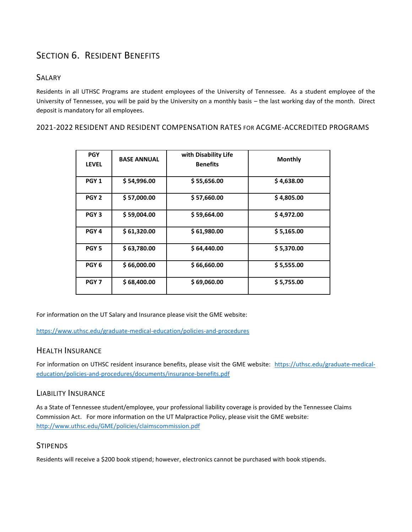# SECTION 6. RESIDENT BENEFITS

## SALARY

Residents in all UTHSC Programs are student employees of the University of Tennessee. As a student employee of the University of Tennessee, you will be paid by the University on a monthly basis – the last working day of the month. Direct deposit is mandatory for all employees.

## 2021-2022 RESIDENT AND RESIDENT COMPENSATION RATES FOR ACGME-ACCREDITED PROGRAMS

| <b>PGY</b><br><b>LEVEL</b> | <b>BASE ANNUAL</b> | with Disability Life<br><b>Benefits</b> | <b>Monthly</b> |
|----------------------------|--------------------|-----------------------------------------|----------------|
| PGY <sub>1</sub>           | \$54,996.00        | \$55,656.00                             | \$4,638.00     |
| PGY <sub>2</sub>           | \$ 57,000.00       | \$ 57,660.00                            | \$4,805.00     |
| PGY <sub>3</sub>           | \$59,004.00        | \$59,664.00                             | \$4,972.00     |
| PGY <sub>4</sub>           | \$61,320.00        | \$61,980.00                             | \$5,165.00     |
| PGY <sub>5</sub>           | \$63,780.00        | \$64,440.00                             | \$5,370.00     |
| PGY <sub>6</sub>           | \$66,000.00        | \$66,660.00                             | \$5,555.00     |
| PGY <sub>7</sub>           | \$68,400.00        | \$69,060.00                             | \$5,755.00     |

For information on the UT Salary and Insurance please visit the GME website:

<https://www.uthsc.edu/graduate-medical-education/policies-and-procedures>

## HEALTH INSURANCE

For information on UTHSC resident insurance benefits, please visit the GME website: [https://uthsc.edu/graduate-medical](https://uthsc.edu/graduate-medical-education/policies-and-procedures/documents/insurance-benefits.pdf)[education/policies-and-procedures/documents/insurance-benefits.pdf](https://uthsc.edu/graduate-medical-education/policies-and-procedures/documents/insurance-benefits.pdf)

## LIABILITY INSURANCE

As a State of Tennessee student/employee, your professional liability coverage is provided by the Tennessee Claims Commission Act. For more information on the UT Malpractice Policy, please visit the GME website: <http://www.uthsc.edu/GME/policies/claimscommission.pdf>

## **STIPENDS**

Residents will receive a \$200 book stipend; however, electronics cannot be purchased with book stipends.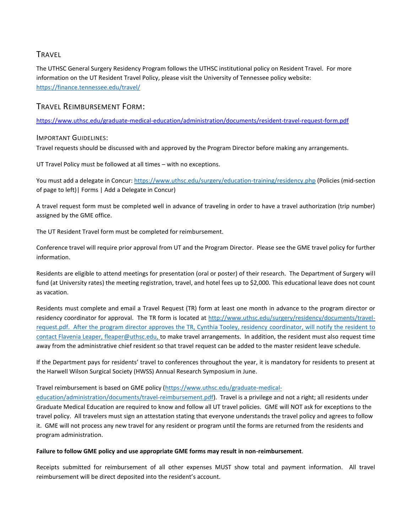## **TRAVEL**

The UTHSC General Surgery Residency Program follows the UTHSC institutional policy on Resident Travel. For more information on the UT Resident Travel Policy, please visit the University of Tennessee policy website: <https://finance.tennessee.edu/travel/>

## TRAVEL REIMBURSEMENT FORM:

<https://www.uthsc.edu/graduate-medical-education/administration/documents/resident-travel-request-form.pdf>

### IMPORTANT GUIDELINES:

Travel requests should be discussed with and approved by the Program Director before making any arrangements.

UT Travel Policy must be followed at all times – with no exceptions.

You must add a delegate in Concur[: https://www.uthsc.edu/surgery/education-training/residency.php](https://www.uthsc.edu/surgery/education-training/residency.php) (Policies (mid-section of page to left)| Forms | Add a Delegate in Concur)

A travel request form must be completed well in advance of traveling in order to have a travel authorization (trip number) assigned by the GME office.

The UT Resident Travel form must be completed for reimbursement.

Conference travel will require prior approval from UT and the Program Director. Please see the GME travel policy for further information.

Residents are eligible to attend meetings for presentation (oral or poster) of their research. The Department of Surgery will fund (at University rates) the meeting registration, travel, and hotel fees up to \$2,000. This educational leave does not count as vacation.

Residents must complete and email a Travel Request (TR) form at least one month in advance to the program director or residency coordinator for approval. The TR form is located at [http://www.uthsc.edu/surgery/residency/documents/travel](http://www.uthsc.edu/surgery/residency/documents/travel-request.pdf)[request.pdf.](http://www.uthsc.edu/surgery/residency/documents/travel-request.pdf) After the program director approves the TR, Cynthia Tooley, residency coordinator, will notify the resident to contact Flavenia Leaper, [fleaper@uthsc.edu,](mailto:fleaper@uthsc.edu) to make travel arrangements. In addition, the resident must also request time away from the administrative chief resident so that travel request can be added to the master resident leave schedule.

If the Department pays for residents' travel to conferences throughout the year, it is mandatory for residents to present at the Harwell Wilson Surgical Society (HWSS) Annual Research Symposium in June.

#### Travel reimbursement is based on GME policy [\(https://www.uthsc.edu/graduate-medical-](https://www.uthsc.edu/graduate-medical-education/administration/documents/travel-reimbursement.pdf)

[education/administration/documents/travel-reimbursement.pdf\)](https://www.uthsc.edu/graduate-medical-education/administration/documents/travel-reimbursement.pdf). Travel is a privilege and not a right; all residents under Graduate Medical Education are required to know and follow all UT travel policies. GME will NOT ask for exceptions to the travel policy. All travelers must sign an attestation stating that everyone understands the travel policy and agrees to follow it. GME will not process any new travel for any resident or program until the forms are returned from the residents and program administration.

#### **Failure to follow GME policy and use appropriate GME forms may result in non-reimbursement**.

Receipts submitted for reimbursement of all other expenses MUST show total and payment information. All travel reimbursement will be direct deposited into the resident's account.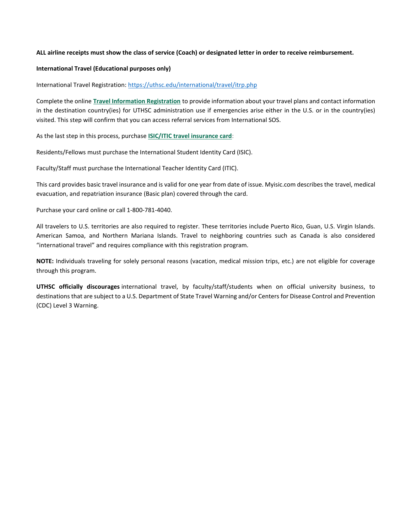#### **ALL airline receipts must show the class of service (Coach) or designated letter in order to receive reimbursement.**

#### **International Travel (Educational purposes only)**

International Travel Registration[: https://uthsc.edu/international/travel/itrp.php](https://uthsc.edu/international/travel/itrp.php)

Complete the online **[Travel Information Registration](https://uthsc.co1.qualtrics.com/SE/?SID=SV_afzBKioGeOeXnj7)** to provide information about your travel plans and contact information in the destination country(ies) for UTHSC administration use if emergencies arise either in the U.S. or in the country(ies) visited. This step will confirm that you can access referral services from International SOS.

As the last step in this process, purchase **[ISIC/ITIC travel insurance card](http://www.myisic.com/the-cards/)**:

Residents/Fellows must purchase the International Student Identity Card (ISIC).

Faculty/Staff must purchase the International Teacher Identity Card (ITIC).

This card provides basic travel insurance and is valid for one year from date of issue. Myisic.com describes the travel, medical evacuation, and repatriation insurance (Basic plan) covered through the card.

Purchase your card online or call 1-800-781-4040.

All travelers to U.S. territories are also required to register. These territories include Puerto Rico, Guan, U.S. Virgin Islands. American Samoa, and Northern Mariana Islands. Travel to neighboring countries such as Canada is also considered "international travel" and requires compliance with this registration program.

**NOTE:** Individuals traveling for solely personal reasons (vacation, medical mission trips, etc.) are not eligible for coverage through this program.

**UTHSC officially discourages** international travel, by faculty/staff/students when on official university business, to destinations that are subject to a U.S. Department of State Travel Warning and/or Centers for Disease Control and Prevention (CDC) Level 3 Warning.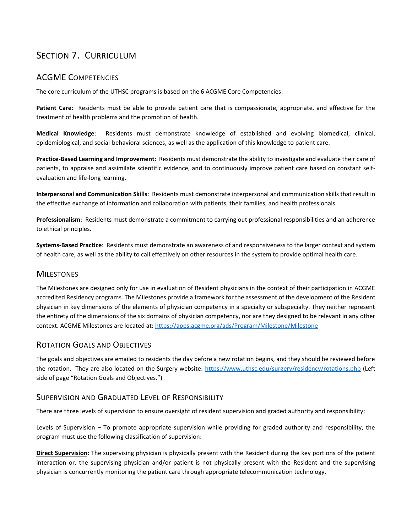# SECTION 7. CURRICULUM

## ACGME COMPETENCIES

The core curriculum of the UTHSC programs is based on the 6 ACGME Core Competencies:

**Patient Care**: Residents must be able to provide patient care that is compassionate, appropriate, and effective for the treatment of health problems and the promotion of health.

**Medical Knowledge**: Residents must demonstrate knowledge of established and evolving biomedical, clinical, epidemiological, and social-behavioral sciences, as well as the application of this knowledge to patient care.

**Practice-Based Learning and Improvement**: Residents must demonstrate the ability to investigate and evaluate their care of patients, to appraise and assimilate scientific evidence, and to continuously improve patient care based on constant selfevaluation and life-long learning.

**Interpersonal and Communication Skills**: Residents must demonstrate interpersonal and communication skills that result in the effective exchange of information and collaboration with patients, their families, and health professionals.

**Professionalism**: Residents must demonstrate a commitment to carrying out professional responsibilities and an adherence to ethical principles.

**Systems-Based Practice**: Residents must demonstrate an awareness of and responsiveness to the larger context and system of health care, as well as the ability to call effectively on other resources in the system to provide optimal health care.

### **MILESTONES**

The Milestones are designed only for use in evaluation of Resident physicians in the context of their participation in ACGME accredited Residency programs. The Milestones provide a framework for the assessment of the development of the Resident physician in key dimensions of the elements of physician competency in a specialty or subspecialty. They neither represent the entirety of the dimensions of the six domains of physician competency, nor are they designed to be relevant in any other context. ACGME Milestones are located at[: https://apps.acgme.org/ads/Program/Milestone/Milestone](https://apps.acgme.org/ads/Program/Milestone/Milestone)

## ROTATION GOALS AND OBJECTIVES

The goals and objectives are emailed to residents the day before a new rotation begins, and they should be reviewed before the rotation. They are also located on the Surgery website:<https://www.uthsc.edu/surgery/residency/rotations.php> (Left side of page "Rotation Goals and Objectives.")

### SUPERVISION AND GRADUATED LEVEL OF RESPONSIBILITY

There are three levels of supervision to ensure oversight of resident supervision and graded authority and responsibility:

Levels of Supervision – To promote appropriate supervision while providing for graded authority and responsibility, the program must use the following classification of supervision:

**Direct Supervision:** The supervising physician is physically present with the Resident during the key portions of the patient interaction or, the supervising physician and/or patient is not physically present with the Resident and the supervising physician is concurrently monitoring the patient care through appropriate telecommunication technology.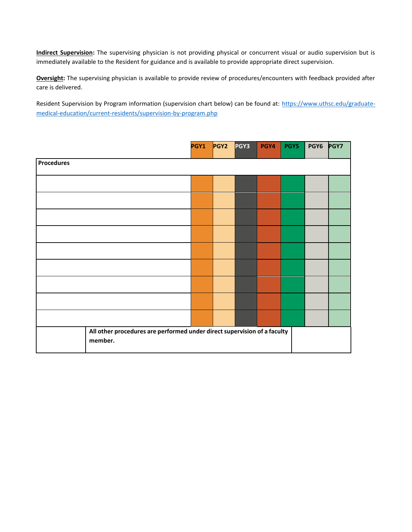**Indirect Supervision:** The supervising physician is not providing physical or concurrent visual or audio supervision but is immediately available to the Resident for guidance and is available to provide appropriate direct supervision.

**Oversight:** The supervising physician is available to provide review of procedures/encounters with feedback provided after care is delivered.

Resident Supervision by Program information (supervision chart below) can be found at: [https://www.uthsc.edu/graduate](https://www.uthsc.edu/graduate-medical-education/current-residents/supervision-by-program.php)[medical-education/current-residents/supervision-by-program.php](https://www.uthsc.edu/graduate-medical-education/current-residents/supervision-by-program.php)

|                                                                                     |  | PGY1 | PGY <sub>2</sub> | PGY3 | PGY4 | PGY5 | PGY6 | <b>PGY7</b> |
|-------------------------------------------------------------------------------------|--|------|------------------|------|------|------|------|-------------|
| <b>Procedures</b>                                                                   |  |      |                  |      |      |      |      |             |
|                                                                                     |  |      |                  |      |      |      |      |             |
|                                                                                     |  |      |                  |      |      |      |      |             |
|                                                                                     |  |      |                  |      |      |      |      |             |
|                                                                                     |  |      |                  |      |      |      |      |             |
|                                                                                     |  |      |                  |      |      |      |      |             |
|                                                                                     |  |      |                  |      |      |      |      |             |
|                                                                                     |  |      |                  |      |      |      |      |             |
|                                                                                     |  |      |                  |      |      |      |      |             |
|                                                                                     |  |      |                  |      |      |      |      |             |
| All other procedures are performed under direct supervision of a faculty<br>member. |  |      |                  |      |      |      |      |             |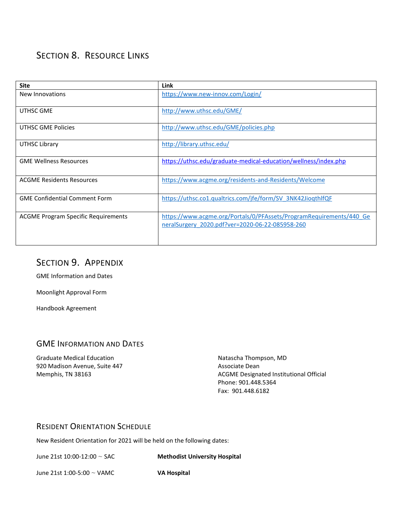# SECTION 8. RESOURCE LINKS

| <b>Site</b>                                | Link                                                                                                                   |
|--------------------------------------------|------------------------------------------------------------------------------------------------------------------------|
| New Innovations                            | https://www.new-innov.com/Login/                                                                                       |
| UTHSC GME                                  | http://www.uthsc.edu/GME/                                                                                              |
| <b>UTHSC GME Policies</b>                  | http://www.uthsc.edu/GME/policies.php                                                                                  |
| UTHSC Library                              | http://library.uthsc.edu/                                                                                              |
| <b>GME Wellness Resources</b>              | https://uthsc.edu/graduate-medical-education/wellness/index.php                                                        |
| <b>ACGME Residents Resources</b>           | https://www.acgme.org/residents-and-Residents/Welcome                                                                  |
| <b>GME Confidential Comment Form</b>       | https://uthsc.co1.qualtrics.com/jfe/form/SV_3NK42JioqthlfQF                                                            |
| <b>ACGME Program Specific Requirements</b> | https://www.acgme.org/Portals/0/PFAssets/ProgramRequirements/440 Ge<br>neralSurgery 2020.pdf?ver=2020-06-22-085958-260 |

# SECTION 9. APPENDIX

GME Information and Dates

Moonlight Approval Form

Handbook Agreement

## GME INFORMATION AND DATES

Graduate Medical Education 920 Madison Avenue, Suite 447 Memphis, TN 38163

Natascha Thompson, MD Associate Dean ACGME Designated Institutional Official Phone: 901.448.5364 Fax: 901.448.6182

## RESIDENT ORIENTATION SCHEDULE

New Resident Orientation for 2021 will be held on the following dates:

June 21st 10:00-12:00 ~ SAC **Methodist University Hospital**

June 21st 1:00-5:00 ~ VAMC **VA Hospital**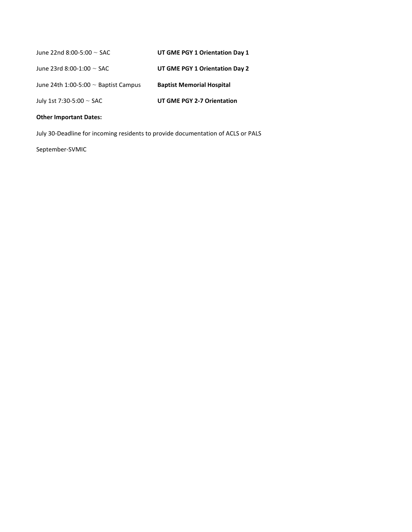| June 22nd 8:00-5:00 $\sim$ SAC            | UT GME PGY 1 Orientation Day 1   |
|-------------------------------------------|----------------------------------|
| June 23rd 8:00-1:00 $\sim$ SAC            | UT GME PGY 1 Orientation Day 2   |
| June 24th 1:00-5:00 $\sim$ Baptist Campus | <b>Baptist Memorial Hospital</b> |
| July 1st 7:30-5:00 $\sim$ SAC             | UT GME PGY 2-7 Orientation       |

#### **Other Important Dates:**

July 30-Deadline for incoming residents to provide documentation of ACLS or PALS

September-SVMIC